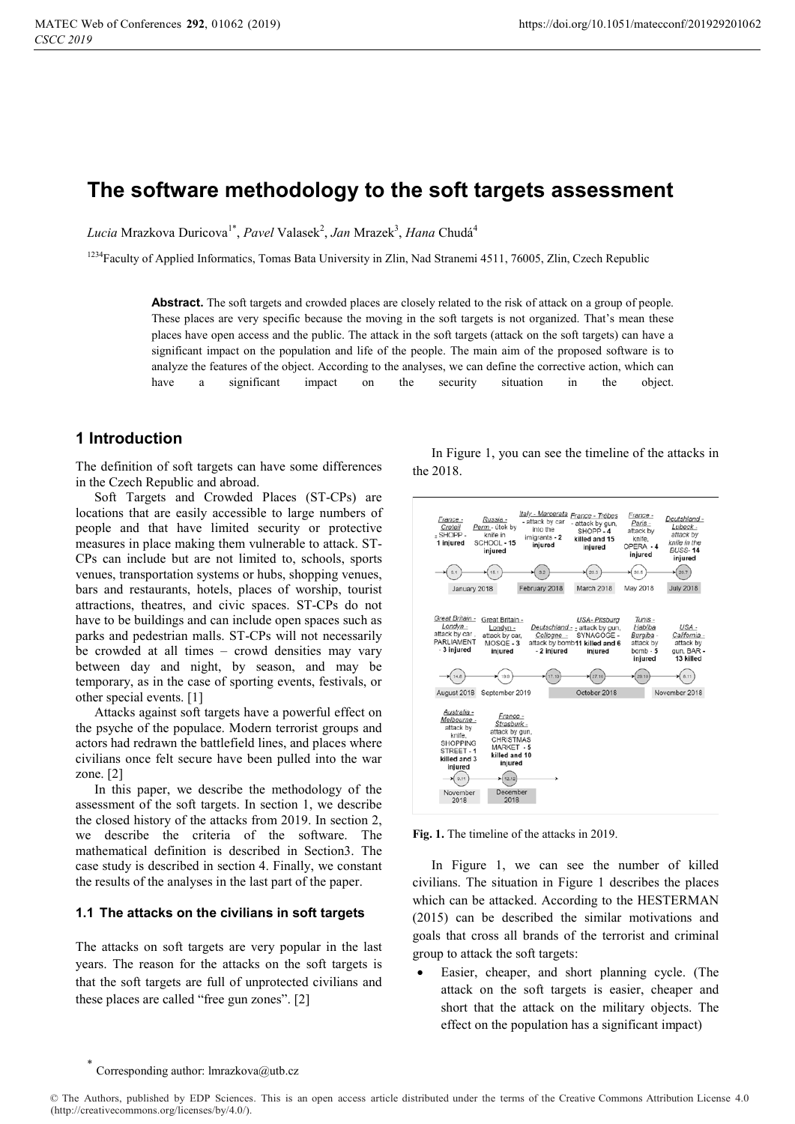# **The software methodology to the soft targets assessment**

 $Lucia$  Mrazkova Duricova<sup>1\*</sup>, *Pavel* Valasek<sup>2</sup>, Jan Mrazek<sup>3</sup>, *Hana* Chudá<sup>4</sup>

<sup>1234</sup>Faculty of Applied Informatics, Tomas Bata University in Zlin, Nad Stranemi 4511, 76005, Zlin, Czech Republic

**Abstract.** The soft targets and crowded places are closely related to the risk of attack on a group of people. These places are very specific because the moving in the soft targets is not organized. That's mean these places have open access and the public. The attack in the soft targets (attack on the soft targets) can have a significant impact on the population and life of the people. The main aim of the proposed software is to analyze the features of the object. According to the analyses, we can define the corrective action, which can have a significant impact on the security situation in the object.

## **1 Introduction**

The definition of soft targets can have some differences in the Czech Republic and abroad.

Soft Targets and Crowded Places (ST-CPs) are locations that are easily accessible to large numbers of people and that have limited security or protective measures in place making them vulnerable to attack. ST-CPs can include but are not limited to, schools, sports venues, transportation systems or hubs, shopping venues, bars and restaurants, hotels, places of worship, tourist attractions, theatres, and civic spaces. ST-CPs do not have to be buildings and can include open spaces such as parks and pedestrian malls. ST-CPs will not necessarily be crowded at all times – crowd densities may vary between day and night, by season, and may be temporary, as in the case of sporting events, festivals, or other special events. [1]

Attacks against soft targets have a powerful effect on the psyche of the populace. Modern terrorist groups and actors had redrawn the battlefield lines, and places where civilians once felt secure have been pulled into the war zone. [2]

In this paper, we describe the methodology of the assessment of the soft targets. In section 1, we describe the closed history of the attacks from 2019. In section 2, we describe the criteria of the software. The mathematical definition is described in Section3. The case study is described in section 4. Finally, we constant the results of the analyses in the last part of the paper.

#### **1.1 The attacks on the civilians in soft targets**

The attacks on soft targets are very popular in the last years. The reason for the attacks on the soft targets is that the soft targets are full of unprotected civilians and these places are called "free gun zones". [2]

In Figure 1, you can see the timeline of the attacks in the 2018.



**Fig. 1.** The timeline of the attacks in 2019.

In Figure 1, we can see the number of killed civilians. The situation in Figure 1 describes the places which can be attacked. According to the HESTERMAN (2015) can be described the similar motivations and goals that cross all brands of the terrorist and criminal group to attack the soft targets:

Easier, cheaper, and short planning cycle. (The attack on the soft targets is easier, cheaper and short that the attack on the military objects. The effect on the population has a significant impact)

Corresponding author: lmrazkova@utb.cz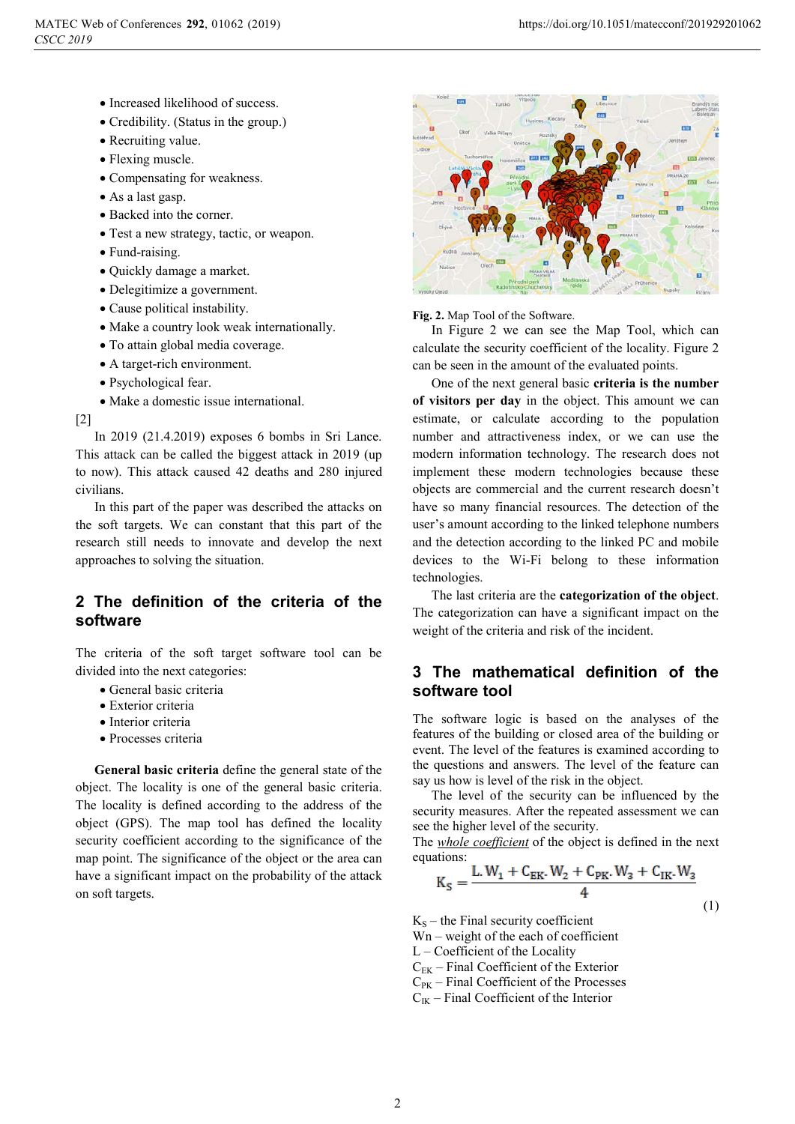- Increased likelihood of success.
- Credibility. (Status in the group.)
- Recruiting value.
- Flexing muscle.
- Compensating for weakness.
- As a last gasp.
- Backed into the corner.
- Test a new strategy, tactic, or weapon.
- Fund-raising.
- Quickly damage a market.
- Delegitimize a government.
- Cause political instability.
- Make a country look weak internationally.
- To attain global media coverage.
- A target-rich environment.
- Psychological fear.
- Make a domestic issue international.

#### [2]

In 2019 (21.4.2019) exposes 6 bombs in Sri Lance. This attack can be called the biggest attack in 2019 (up to now). This attack caused 42 deaths and 280 injured civilians.

In this part of the paper was described the attacks on the soft targets. We can constant that this part of the research still needs to innovate and develop the next approaches to solving the situation.

# **2 The definition of the criteria of the software**

The criteria of the soft target software tool can be divided into the next categories:

- General basic criteria
- Exterior criteria
- Interior criteria
- Processes criteria

**General basic criteria** define the general state of the object. The locality is one of the general basic criteria. The locality is defined according to the address of the object (GPS). The map tool has defined the locality security coefficient according to the significance of the map point. The significance of the object or the area can have a significant impact on the probability of the attack on soft targets.



**Fig. 2.** Map Tool of the Software.

In Figure 2 we can see the Map Tool, which can calculate the security coefficient of the locality. Figure 2 can be seen in the amount of the evaluated points.

One of the next general basic **criteria is the number of visitors per day** in the object. This amount we can estimate, or calculate according to the population number and attractiveness index, or we can use the modern information technology. The research does not implement these modern technologies because these objects are commercial and the current research doesn't have so many financial resources. The detection of the user's amount according to the linked telephone numbers and the detection according to the linked PC and mobile devices to the Wi-Fi belong to these information technologies.

The last criteria are the **categorization of the object**. The categorization can have a significant impact on the weight of the criteria and risk of the incident.

# **3 The mathematical definition of the software tool**

The software logic is based on the analyses of the features of the building or closed area of the building or event. The level of the features is examined according to the questions and answers. The level of the feature can say us how is level of the risk in the object.

The level of the security can be influenced by the security measures. After the repeated assessment we can see the higher level of the security.

The *whole coefficient* of the object is defined in the next equations:

$$
K_{S} = \frac{L.W_{1} + C_{EK}.W_{2} + C_{PK}.W_{3} + C_{IK}.W_{3}}{4}
$$
\n(1)

 $K<sub>S</sub>$  – the Final security coefficient

Wn – weight of the each of coefficient

L – Coefficient of the Locality

CEK – Final Coefficient of the Exterior

 $C_{PK}$  – Final Coefficient of the Processes

 $C_{IK}$  – Final Coefficient of the Interior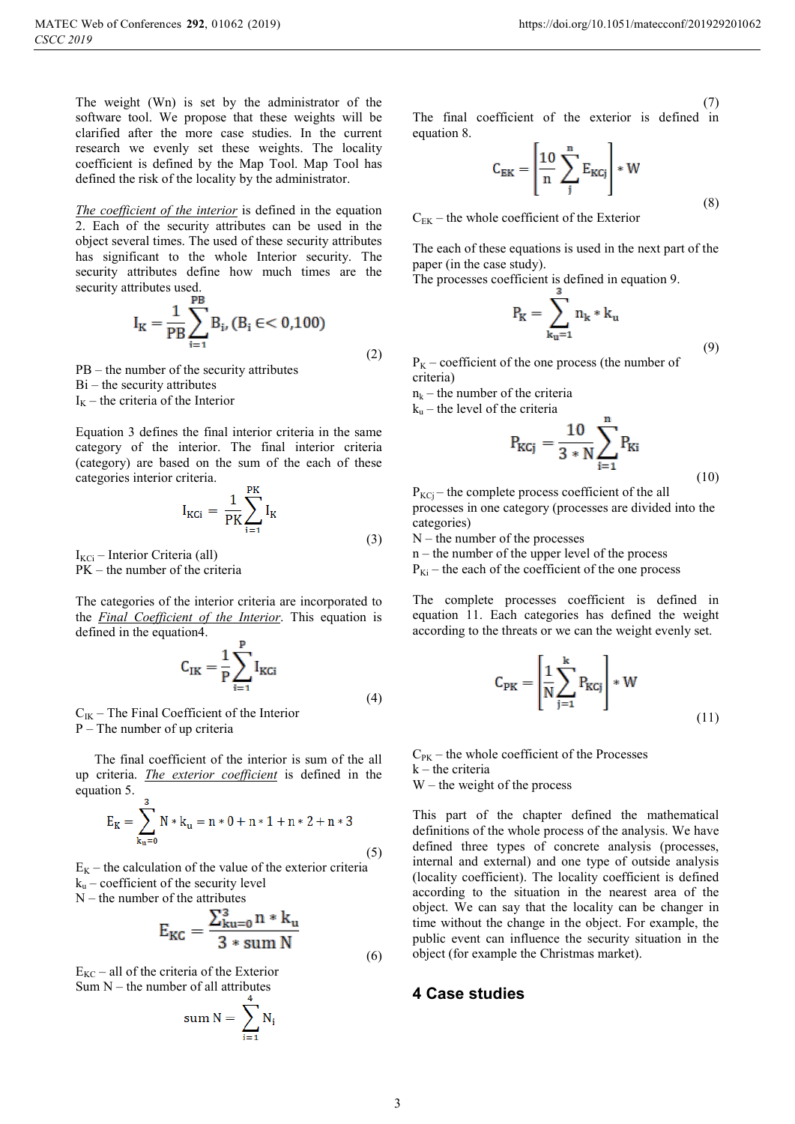The weight (Wn) is set by the administrator of the software tool. We propose that these weights will be clarified after the more case studies. In the current research we evenly set these weights. The locality coefficient is defined by the Map Tool. Map Tool has defined the risk of the locality by the administrator.

*The coefficient of the interior* is defined in the equation 2. Each of the security attributes can be used in the object several times. The used of these security attributes has significant to the whole Interior security. The security attributes define how much times are the security attributes used.

$$
I_K = \frac{1}{PB} \sum_{i=1}^{PB} B_i, (B_i \in 0, 100)
$$

PB – the number of the security attributes Bi – the security attributes  $I_{K}$  – the criteria of the Interior

Equation 3 defines the final interior criteria in the same category of the interior. The final interior criteria (category) are based on the sum of the each of these categories interior criteria.

$$
I_{\text{KG}i} = \frac{1}{PK}\sum_{i=1}^{PK}I_K
$$

 $I_{\text{KCi}}$  – Interior Criteria (all)

PK – the number of the criteria

The categories of the interior criteria are incorporated to the *Final Coefficient of the Interior*. This equation is defined in the equation4.

$$
C_{IK} = \frac{1}{P} \sum_{i=1}^{P} I_{KGi}
$$
 (4)

 $C_{IK}$  – The Final Coefficient of the Interior P – The number of up criteria

The final coefficient of the interior is sum of the all up criteria. *The exterior coefficient* is defined in the equation 5.

$$
E_K = \sum_{k_u=0}^{3} N * k_u = n * 0 + n * 1 + n * 2 + n * 3
$$
\n(5)

 $E_K$  – the calculation of the value of the exterior criteria  $k<sub>u</sub>$  – coefficient of the security level N – the number of the attributes

$$
E_{KC} = \frac{\sum_{ku=0}^{3} n * k_u}{3 * sum N}
$$

 $E_{KC}$  – all of the criteria of the Exterior Sum N – the number of all attributes

$$
\text{sum } N = \sum_{i=1}^r N_i
$$

(7)

(8)

The final coefficient of the exterior is defined in equation 8.

$$
C_{EK} = \left[\frac{10}{n} \sum_{j}^{n} E_{KGj}\right] * W
$$

 $C_{EK}$  – the whole coefficient of the Exterior

The each of these equations is used in the next part of the paper (in the case study).

The processes coefficient is defined in equation 9.

$$
P_{K} = \sum_{k_{u}=1}^{\infty} n_{k} * k_{u}
$$
\n(9)

 $P_{K}$  – coefficient of the one process (the number of criteria)

 $n_k$  – the number of the criteria

(2)

(3)

 $k<sub>u</sub>$  – the level of the criteria

$$
P_{KGj} = \frac{10}{3*N} \sum_{i=1}^{n} P_{Ki}
$$
\n(10)

 $\blacksquare$ 

 $P_{KCi}$  – the complete process coefficient of the all processes in one category (processes are divided into the categories)

N – the number of the processes

n – the number of the upper level of the process

 $P_{Ki}$  – the each of the coefficient of the one process

The complete processes coefficient is defined in equation 11. Each categories has defined the weight according to the threats or we can the weight evenly set.

$$
C_{PK} = \left[\frac{1}{N} \sum_{j=1}^{k} P_{KGj}\right] * W
$$
\n(11)

 $C_{PK}$  – the whole coefficient of the Processes  $k$  – the criteria W – the weight of the process

This part of the chapter defined the mathematical definitions of the whole process of the analysis. We have defined three types of concrete analysis (processes, internal and external) and one type of outside analysis (locality coefficient). The locality coefficient is defined according to the situation in the nearest area of the object. We can say that the locality can be changer in time without the change in the object. For example, the public event can influence the security situation in the object (for example the Christmas market).

## **4 Case studies**

(6)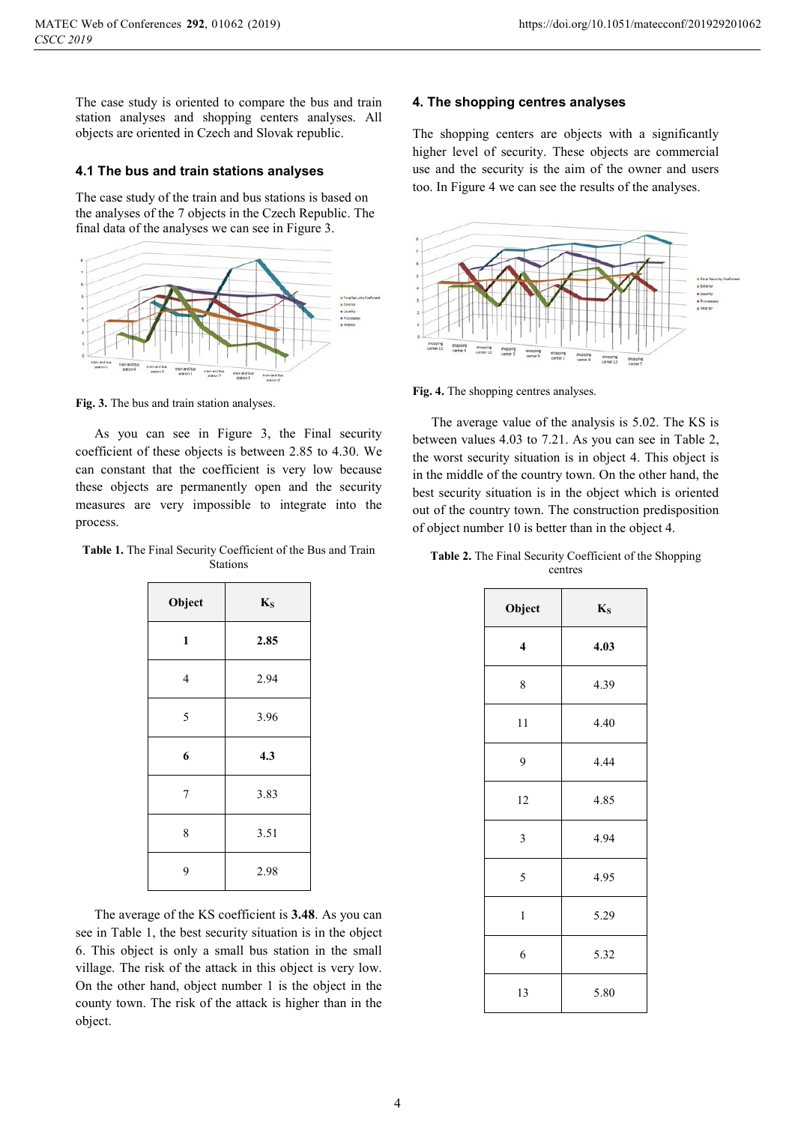The case study is oriented to compare the bus and train station analyses and shopping centers analyses. All objects are oriented in Czech and Slovak republic.

## **4.1 The bus and train stations analyses**

The case study of the train and bus stations is based on the analyses of the 7 objects in the Czech Republic. The final data of the analyses we can see in Figure 3.



**Fig. 3.** The bus and train station analyses.

As you can see in Figure 3, the Final security coefficient of these objects is between 2.85 to 4.30. We can constant that the coefficient is very low because these objects are permanently open and the security measures are very impossible to integrate into the process.

**Table 1.** The Final Security Coefficient of the Bus and Train Stations

| Object         | $K_S$ |
|----------------|-------|
| 1              | 2.85  |
| $\overline{4}$ | 2.94  |
| 5              | 3.96  |
| 6              | 4.3   |
| 7              | 3.83  |
| 8              | 3.51  |
| 9              | 2.98  |
|                |       |

The average of the KS coefficient is **3.48**. As you can see in Table 1, the best security situation is in the object 6. This object is only a small bus station in the small village. The risk of the attack in this object is very low. On the other hand, object number 1 is the object in the county town. The risk of the attack is higher than in the object.

### **4. The shopping centres analyses**

The shopping centers are objects with a significantly higher level of security. These objects are commercial use and the security is the aim of the owner and users too. In Figure 4 we can see the results of the analyses.



**Fig. 4.** The shopping centres analyses.

The average value of the analysis is 5.02. The KS is between values 4.03 to 7.21. As you can see in Table 2, the worst security situation is in object 4. This object is in the middle of the country town. On the other hand, the best security situation is in the object which is oriented out of the country town. The construction predisposition of object number 10 is better than in the object 4.

| Object                  | $K_S$ |
|-------------------------|-------|
| $\overline{\mathbf{4}}$ | 4.03  |
| 8                       | 4.39  |
| 11                      | 4.40  |
| 9                       | 4.44  |
| 12                      | 4.85  |
| 3                       | 4.94  |
| 5                       | 4.95  |
| $\mathbf{1}$            | 5.29  |
| 6                       | 5.32  |
| 13                      | 5.80  |

| <b>Table 2.</b> The Final Security Coefficient of the Shopping |  |  |
|----------------------------------------------------------------|--|--|
| centres                                                        |  |  |